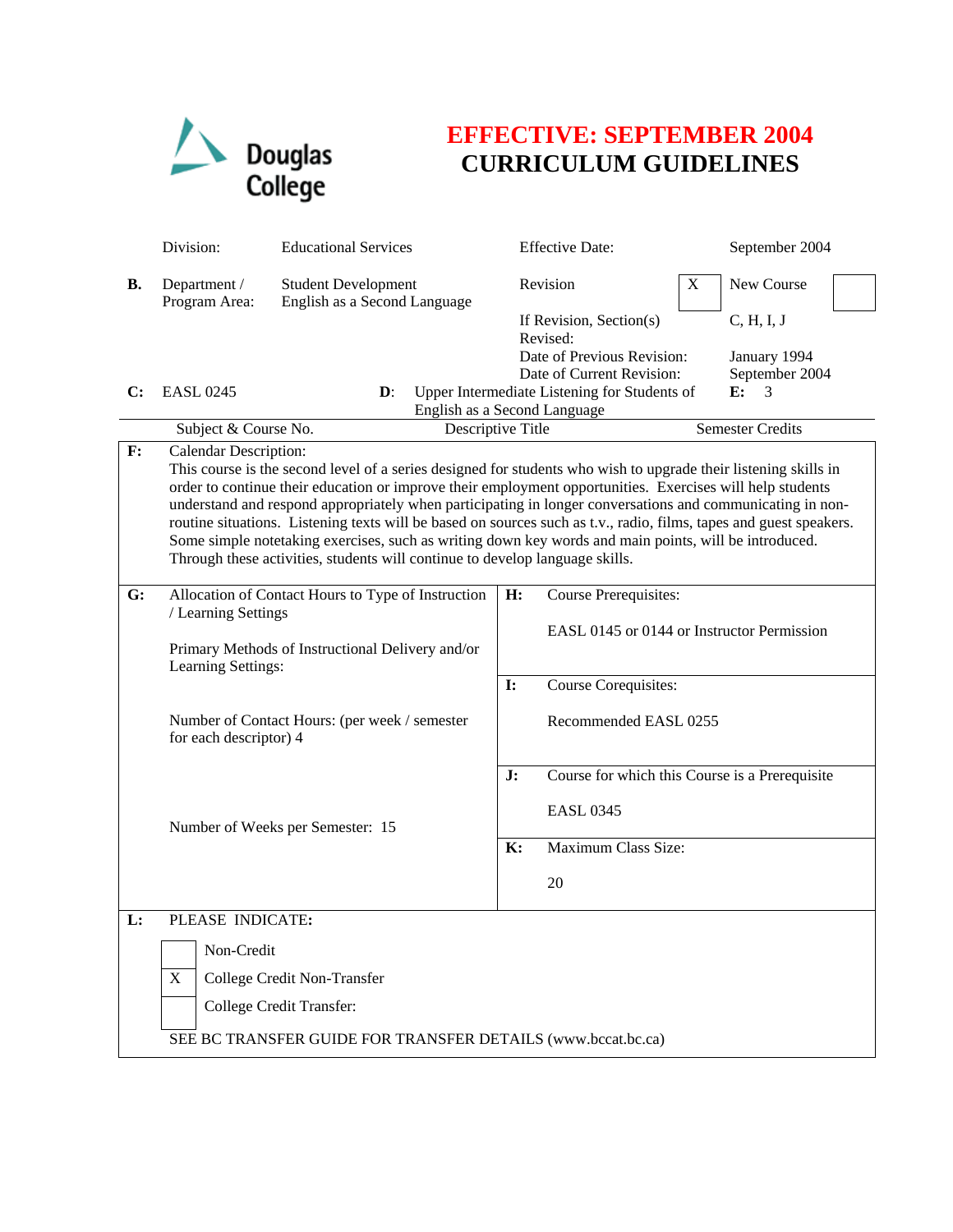

## **EFFECTIVE: SEPTEMBER 2004 CURRICULUM GUIDELINES**

|           | Division:                                                                                                                                                                                                                                                                                                                                                                                                                                                                                                                                                                                                                                                                                | <b>Educational Services</b>                                             |    | <b>Effective Date:</b>                                                    |   | September 2004             |  |
|-----------|------------------------------------------------------------------------------------------------------------------------------------------------------------------------------------------------------------------------------------------------------------------------------------------------------------------------------------------------------------------------------------------------------------------------------------------------------------------------------------------------------------------------------------------------------------------------------------------------------------------------------------------------------------------------------------------|-------------------------------------------------------------------------|----|---------------------------------------------------------------------------|---|----------------------------|--|
| <b>B.</b> | Department /<br>Program Area:                                                                                                                                                                                                                                                                                                                                                                                                                                                                                                                                                                                                                                                            | <b>Student Development</b><br>English as a Second Language              |    | Revision                                                                  | X | New Course                 |  |
|           |                                                                                                                                                                                                                                                                                                                                                                                                                                                                                                                                                                                                                                                                                          |                                                                         |    | If Revision, Section(s)<br>Revised:<br>Date of Previous Revision:         |   | C, H, I, J<br>January 1994 |  |
| C:        | <b>EASL 0245</b>                                                                                                                                                                                                                                                                                                                                                                                                                                                                                                                                                                                                                                                                         | $\mathbf{D}$ :                                                          |    | Date of Current Revision:<br>Upper Intermediate Listening for Students of |   | September 2004<br>E:<br>3  |  |
|           |                                                                                                                                                                                                                                                                                                                                                                                                                                                                                                                                                                                                                                                                                          | English as a Second Language                                            |    |                                                                           |   |                            |  |
|           | Subject & Course No.                                                                                                                                                                                                                                                                                                                                                                                                                                                                                                                                                                                                                                                                     | Descriptive Title                                                       |    |                                                                           |   | Semester Credits           |  |
| F:        | <b>Calendar Description:</b><br>This course is the second level of a series designed for students who wish to upgrade their listening skills in<br>order to continue their education or improve their employment opportunities. Exercises will help students<br>understand and respond appropriately when participating in longer conversations and communicating in non-<br>routine situations. Listening texts will be based on sources such as t.v., radio, films, tapes and guest speakers.<br>Some simple notetaking exercises, such as writing down key words and main points, will be introduced.<br>Through these activities, students will continue to develop language skills. |                                                                         |    |                                                                           |   |                            |  |
| G:        | Allocation of Contact Hours to Type of Instruction<br>/ Learning Settings<br>Primary Methods of Instructional Delivery and/or<br>Learning Settings:                                                                                                                                                                                                                                                                                                                                                                                                                                                                                                                                      |                                                                         | H: | Course Prerequisites:<br>EASL 0145 or 0144 or Instructor Permission       |   |                            |  |
|           |                                                                                                                                                                                                                                                                                                                                                                                                                                                                                                                                                                                                                                                                                          |                                                                         |    | Course Corequisites:                                                      |   |                            |  |
|           |                                                                                                                                                                                                                                                                                                                                                                                                                                                                                                                                                                                                                                                                                          | Number of Contact Hours: (per week / semester<br>for each descriptor) 4 |    | Recommended EASL 0255                                                     |   |                            |  |
|           |                                                                                                                                                                                                                                                                                                                                                                                                                                                                                                                                                                                                                                                                                          |                                                                         |    | Course for which this Course is a Prerequisite                            |   |                            |  |
|           | Number of Weeks per Semester: 15                                                                                                                                                                                                                                                                                                                                                                                                                                                                                                                                                                                                                                                         |                                                                         |    | <b>EASL 0345</b>                                                          |   |                            |  |
|           |                                                                                                                                                                                                                                                                                                                                                                                                                                                                                                                                                                                                                                                                                          |                                                                         | K: | Maximum Class Size:                                                       |   |                            |  |
|           |                                                                                                                                                                                                                                                                                                                                                                                                                                                                                                                                                                                                                                                                                          |                                                                         |    | 20                                                                        |   |                            |  |
| L:        | PLEASE INDICATE:                                                                                                                                                                                                                                                                                                                                                                                                                                                                                                                                                                                                                                                                         |                                                                         |    |                                                                           |   |                            |  |
|           | Non-Credit                                                                                                                                                                                                                                                                                                                                                                                                                                                                                                                                                                                                                                                                               |                                                                         |    |                                                                           |   |                            |  |
|           | X<br>College Credit Non-Transfer                                                                                                                                                                                                                                                                                                                                                                                                                                                                                                                                                                                                                                                         |                                                                         |    |                                                                           |   |                            |  |
|           | College Credit Transfer:                                                                                                                                                                                                                                                                                                                                                                                                                                                                                                                                                                                                                                                                 |                                                                         |    |                                                                           |   |                            |  |
|           | SEE BC TRANSFER GUIDE FOR TRANSFER DETAILS (www.bccat.bc.ca)                                                                                                                                                                                                                                                                                                                                                                                                                                                                                                                                                                                                                             |                                                                         |    |                                                                           |   |                            |  |